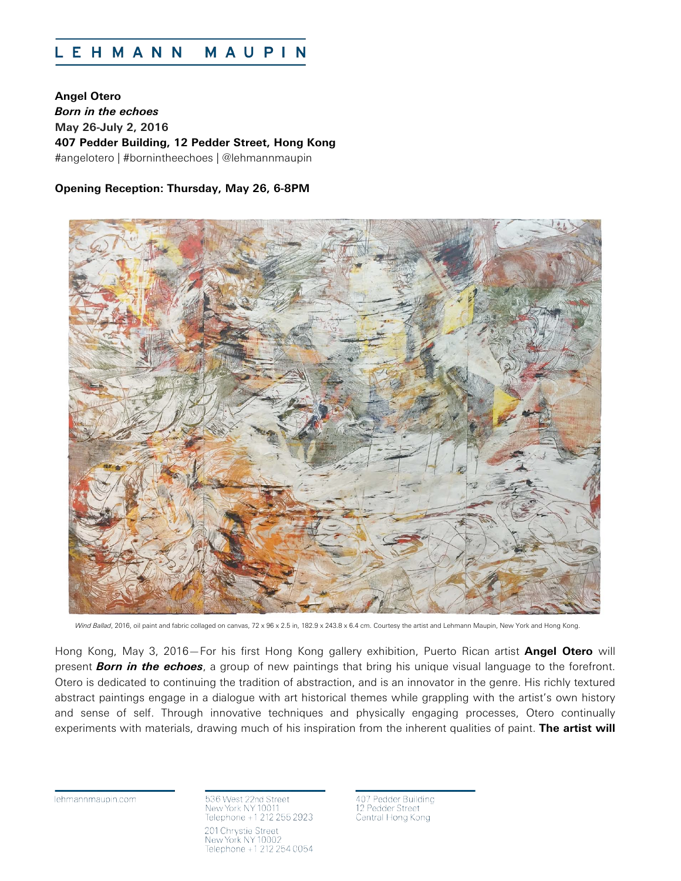#### MAUPIN **LEHMANN**

**Angel Otero** *Born in the echoes* **May 26-July 2, 2016 407 Pedder Building, 12 Pedder Street, Hong Kong** #angelotero | #bornintheechoes | @lehmannmaupin

# **Opening Reception: Thursday, May 26, 6-8PM**



Wind Ballad, 2016, oil paint and fabric collaged on canvas, 72 x 96 x 2.5 in, 182.9 x 243.8 x 6.4 cm. Courtesy the artist and Lehmann Maupin, New York and Hong Kong

Hong Kong, May 3, 2016—For his first Hong Kong gallery exhibition, Puerto Rican artist **Angel Otero** will present *Born in the echoes*, a group of new paintings that bring his unique visual language to the forefront. Otero is dedicated to continuing the tradition of abstraction, and is an innovator in the genre. His richly textured abstract paintings engage in a dialogue with art historical themes while grappling with the artist's own history and sense of self. Through innovative techniques and physically engaging processes, Otero continually experiments with materials, drawing much of his inspiration from the inherent qualities of paint. **The artist will** 

lehmannmaupin.com

536 West 22nd Street New York NY 100 Telephone +1 212 255 2923 201 Chrystie Street New York NY 10002<br>Telephone +1 212 254 0054

Pedder Building 12 Pedder Street Central Hong Kong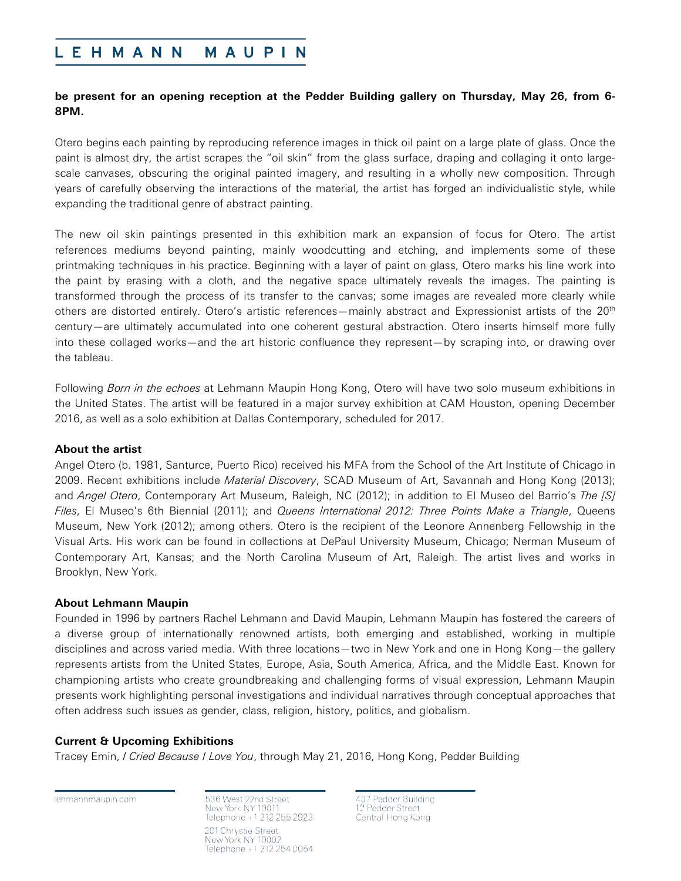#### LEHMANN MAUPIN

# **be present for an opening reception at the Pedder Building gallery on Thursday, May 26, from 6- 8PM.**

Otero begins each painting by reproducing reference images in thick oil paint on a large plate of glass. Once the paint is almost dry, the artist scrapes the "oil skin" from the glass surface, draping and collaging it onto largescale canvases, obscuring the original painted imagery, and resulting in a wholly new composition. Through years of carefully observing the interactions of the material, the artist has forged an individualistic style, while expanding the traditional genre of abstract painting.

The new oil skin paintings presented in this exhibition mark an expansion of focus for Otero. The artist references mediums beyond painting, mainly woodcutting and etching, and implements some of these printmaking techniques in his practice. Beginning with a layer of paint on glass, Otero marks his line work into the paint by erasing with a cloth, and the negative space ultimately reveals the images. The painting is transformed through the process of its transfer to the canvas; some images are revealed more clearly while others are distorted entirely. Otero's artistic references—mainly abstract and Expressionist artists of the 20<sup>th</sup> century—are ultimately accumulated into one coherent gestural abstraction. Otero inserts himself more fully into these collaged works—and the art historic confluence they represent—by scraping into, or drawing over the tableau.

Following *Born in the echoes* at Lehmann Maupin Hong Kong, Otero will have two solo museum exhibitions in the United States. The artist will be featured in a major survey exhibition at CAM Houston, opening December 2016, as well as a solo exhibition at Dallas Contemporary, scheduled for 2017.

### **About the artist**

Angel Otero (b. 1981, Santurce, Puerto Rico) received his MFA from the School of the Art Institute of Chicago in 2009. Recent exhibitions include *Material Discovery*, SCAD Museum of Art, Savannah and Hong Kong (2013); and *Angel Otero*, Contemporary Art Museum, Raleigh, NC (2012); in addition to El Museo del Barrio's *The [S] Files*, El Museo's 6th Biennial (2011); and *Queens International 2012: Three Points Make a Triangle*, Queens Museum, New York (2012); among others. Otero is the recipient of the Leonore Annenberg Fellowship in the Visual Arts. His work can be found in collections at DePaul University Museum, Chicago; Nerman Museum of Contemporary Art, Kansas; and the North Carolina Museum of Art, Raleigh. The artist lives and works in Brooklyn, New York.

### **About Lehmann Maupin**

Founded in 1996 by partners Rachel Lehmann and David Maupin, Lehmann Maupin has fostered the careers of a diverse group of internationally renowned artists, both emerging and established, working in multiple disciplines and across varied media. With three locations—two in New York and one in Hong Kong—the gallery represents artists from the United States, Europe, Asia, South America, Africa, and the Middle East. Known for championing artists who create groundbreaking and challenging forms of visual expression, Lehmann Maupin presents work highlighting personal investigations and individual narratives through conceptual approaches that often address such issues as gender, class, religion, history, politics, and globalism.

# **Current & Upcoming Exhibitions**

Tracey Emin, *I Cried Because I Love You*, through May 21, 2016, Hong Kong, Pedder Building

lehmannmaupin.com

536 West 22nd Street New York NY 100 Telephone +1 212 255 2923 201 Chrystie Street New York NY 1000 Telephone +1 212 254 0054

407 Pedder Building 12 Pedder Street Central Hong Kong